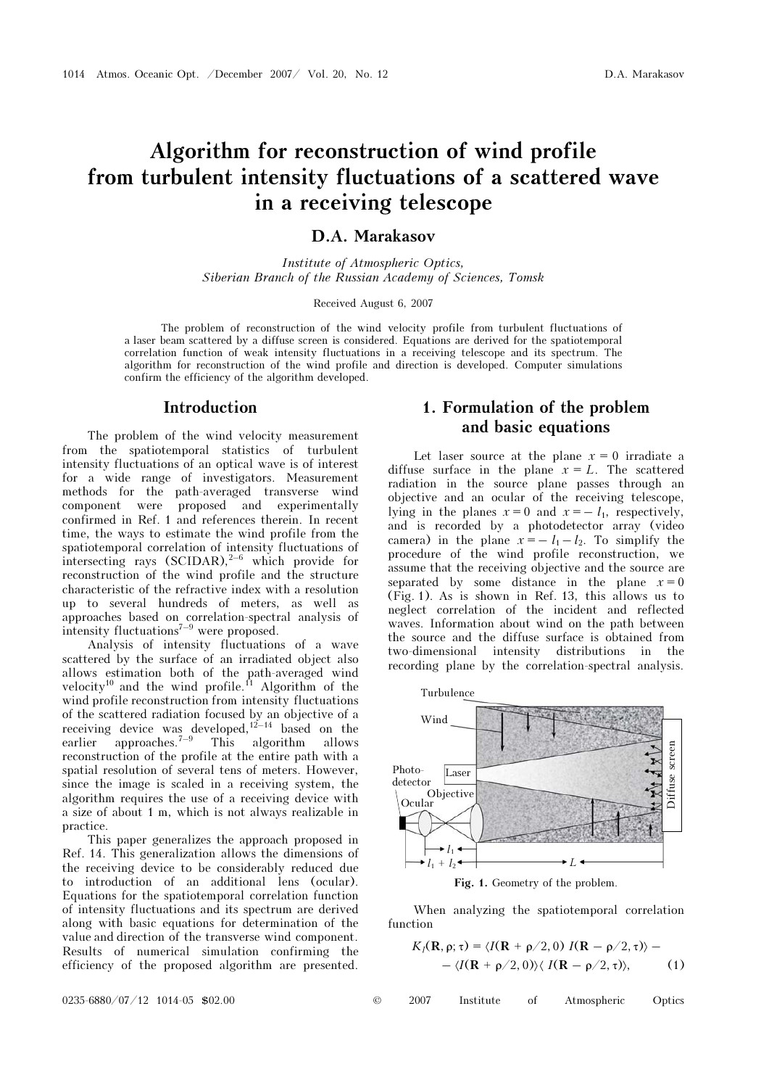# Algorithm for reconstruction of wind profile from turbulent intensity fluctuations of a scattered wave in a receiving telescope

### D.A. Marakasov

Institute of Atmospheric Optics, Siberian Branch of the Russian Academy of Sciences, Tomsk

Received August 6, 2007

The problem of reconstruction of the wind velocity profile from turbulent fluctuations of a laser beam scattered by a diffuse screen is considered. Equations are derived for the spatiotemporal correlation function of weak intensity fluctuations in a receiving telescope and its spectrum. The algorithm for reconstruction of the wind profile and direction is developed. Computer simulations confirm the efficiency of the algorithm developed.

### Introduction

The problem of the wind velocity measurement from the spatiotemporal statistics of turbulent intensity fluctuations of an optical wave is of interest for a wide range of investigators. Measurement methods for the path-averaged transverse wind component were proposed and experimentally confirmed in Ref. 1 and references therein. In recent time, the ways to estimate the wind profile from the spatiotemporal correlation of intensity fluctuations of intersecting rays  $(SCIDAR)<sup>2-6</sup>$  which provide for reconstruction of the wind profile and the structure characteristic of the refractive index with a resolution up to several hundreds of meters, as well as approaches based on correlation-spectral analysis of intensity fluctuations<sup> $7-9$ </sup> were proposed.

Analysis of intensity fluctuations of a wave scattered by the surface of an irradiated object also allows estimation both of the path-averaged wind velocity<sup>10</sup> and the wind profile.<sup>11</sup> Algorithm of the wind profile reconstruction from intensity fluctuations of the scattered radiation focused by an objective of a receiving device was developed, $12-14$  based on the earlier approaches.<sup> $7-9$ </sup> This algorithm allows reconstruction of the profile at the entire path with a spatial resolution of several tens of meters. However, since the image is scaled in a receiving system, the algorithm requires the use of a receiving device with a size of about 1 m, which is not always realizable in practice.

This paper generalizes the approach proposed in Ref. 14. This generalization allows the dimensions of the receiving device to be considerably reduced due to introduction of an additional lens (ocular). Equations for the spatiotemporal correlation function of intensity fluctuations and its spectrum are derived along with basic equations for determination of the value and direction of the transverse wind component. Results of numerical simulation confirming the efficiency of the proposed algorithm are presented.

# 1. Formulation of the problem and basic equations

Let laser source at the plane  $x = 0$  irradiate a diffuse surface in the plane  $x = L$ . The scattered radiation in the source plane passes through an objective and an ocular of the receiving telescope, lying in the planes  $x = 0$  and  $x = -l_1$ , respectively, and is recorded by a photodetector array (video camera) in the plane  $x = -l_1 - l_2$ . To simplify the procedure of the wind profile reconstruction, we assume that the receiving objective and the source are separated by some distance in the plane  $x = 0$ (Fig. 1). As is shown in Ref. 13, this allows us to neglect correlation of the incident and reflected waves. Information about wind on the path between the source and the diffuse surface is obtained from two-dimensional intensity distributions in the recording plane by the correlation-spectral analysis.



Fig. 1. Geometry of the problem.

When analyzing the spatiotemporal correlation function

$$
K_I(\mathbf{R}, \rho; \tau) = \langle I(\mathbf{R} + \rho/2, 0) I(\mathbf{R} - \rho/2, \tau) \rangle -
$$

$$
- \langle I(\mathbf{R} + \rho/2, 0) \rangle \langle I(\mathbf{R} - \rho/2, \tau) \rangle, \tag{1}
$$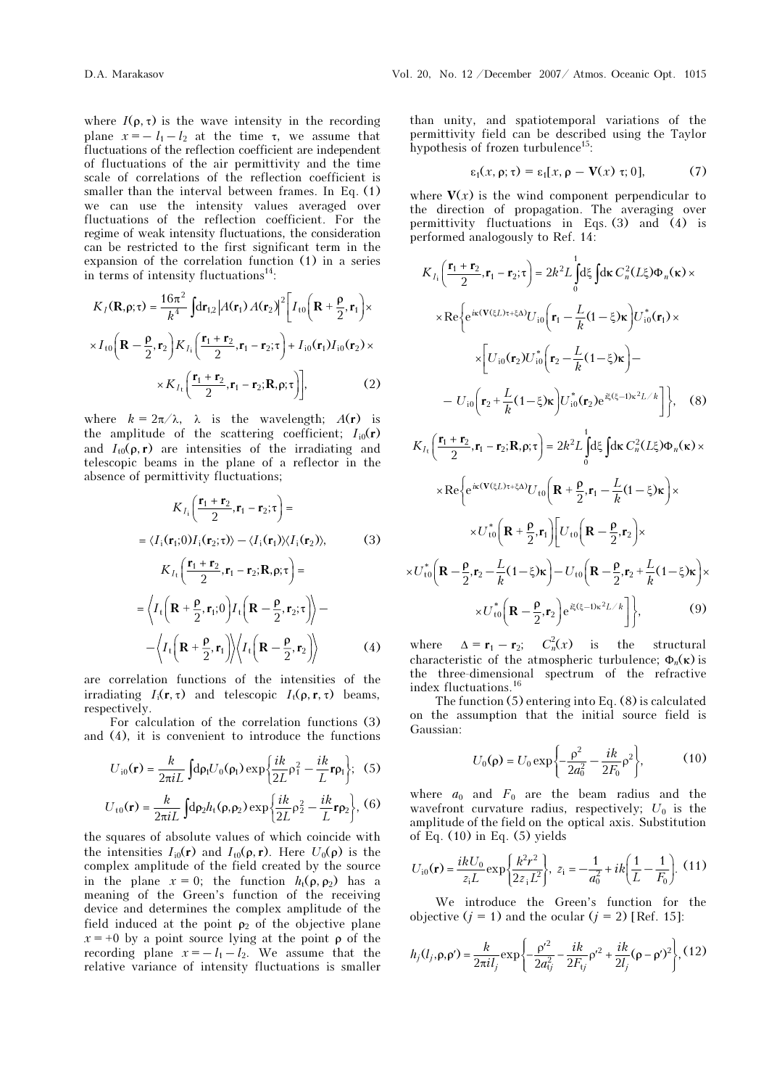where  $I(\rho, \tau)$  is the wave intensity in the recording plane  $x = -l_1 - l_2$  at the time  $\tau$ , we assume that fluctuations of the reflection coefficient are independent of fluctuations of the air permittivity and the time scale of correlations of the reflection coefficient is smaller than the interval between frames. In Eq. (1) we can use the intensity values averaged over fluctuations of the reflection coefficient. For the regime of weak intensity fluctuations, the consideration can be restricted to the first significant term in the expansion of the correlation function (1) in a series in terms of intensity fluctuations $14$ :

$$
K_I(\mathbf{R}, \rho; \tau) = \frac{16\pi^2}{k^4} \int d\mathbf{r}_{1,2} |A(\mathbf{r}_1) A(\mathbf{r}_2)|^2 \left[ I_{t0} \left( \mathbf{R} + \frac{\rho}{2}, \mathbf{r}_1 \right) \times \right.
$$

$$
\times I_{t0} \left( \mathbf{R} - \frac{\rho}{2}, \mathbf{r}_2 \right) K_{I_1} \left( \frac{\mathbf{r}_1 + \mathbf{r}_2}{2}, \mathbf{r}_1 - \mathbf{r}_2; \tau \right) + I_{10}(\mathbf{r}_1) I_{10}(\mathbf{r}_2) \times
$$

$$
\times K_{I_1} \left( \frac{\mathbf{r}_1 + \mathbf{r}_2}{2}, \mathbf{r}_1 - \mathbf{r}_2; \mathbf{R}, \rho; \tau \right) \bigg], \tag{2}
$$

where  $k = 2\pi/\lambda$ ,  $\lambda$  is the wavelength;  $A(\mathbf{r})$  is the amplitude of the scattering coefficient;  $I_{i0}(\mathbf{r})$ and  $I_{t0}(\rho, r)$  are intensities of the irradiating and telescopic beams in the plane of a reflector in the absence of permittivity fluctuations;

$$
K_{I_1}\left(\frac{\mathbf{r}_1 + \mathbf{r}_2}{2}, \mathbf{r}_1 - \mathbf{r}_2; \tau\right) =
$$
  
\n
$$
= \langle I_1(\mathbf{r}_1; 0)I_1(\mathbf{r}_2; \tau) \rangle - \langle I_1(\mathbf{r}_1) \rangle \langle I_1(\mathbf{r}_2) \rangle, \qquad (3)
$$
  
\n
$$
K_{I_1}\left(\frac{\mathbf{r}_1 + \mathbf{r}_2}{2}, \mathbf{r}_1 - \mathbf{r}_2; \mathbf{R}, \rho; \tau\right) =
$$
  
\n
$$
= \langle I_1\left(\mathbf{R} + \frac{\rho}{2}, \mathbf{r}_1; 0\right)I_1\left(\mathbf{R} - \frac{\rho}{2}, \mathbf{r}_2; \tau\right)\rangle -
$$
  
\n
$$
- \langle I_1\left(\mathbf{R} + \frac{\rho}{2}, \mathbf{r}_1\right) \rangle \langle I_1\left(\mathbf{R} - \frac{\rho}{2}, \mathbf{r}_2\right) \rangle \qquad (4)
$$

are correlation functions of the intensities of the irradiating  $I_i(\mathbf{r}, \tau)$  and telescopic  $I_i(\rho, \mathbf{r}, \tau)$  beams, respectively.

For calculation of the correlation functions (3) and (4), it is convenient to introduce the functions

$$
U_{\rm i0}(\mathbf{r}) = \frac{k}{2\pi i L} \int d\rho_{\rm i} U_0(\rho_{\rm i}) \exp\left\{\frac{ik}{2L}\rho_{\rm i}^2 - \frac{ik}{L} \mathbf{r}\rho_{\rm i}\right\}; \tag{5}
$$

$$
U_{\rm t0}(\mathbf{r}) = \frac{k}{2\pi i L} \int d\rho_2 h_{\rm t}(\rho, \rho_2) \exp\left\{\frac{ik}{2L} \rho_2^2 - \frac{ik}{L} \mathbf{r} \rho_2\right\}, (6)
$$

the squares of absolute values of which coincide with the intensities  $I_{i0}(\mathbf{r})$  and  $I_{t0}(\rho, \mathbf{r})$ . Here  $U_0(\rho)$  is the complex amplitude of the field created by the source in the plane  $x = 0$ ; the function  $h_t(\rho, \rho_2)$  has a meaning of the Green's function of the receiving device and determines the complex amplitude of the field induced at the point  $\rho_2$  of the objective plane  $x = +0$  by a point source lying at the point  $\rho$  of the recording plane  $x = -l_1 - l_2$ . We assume that the relative variance of intensity fluctuations is smaller than unity, and spatiotemporal variations of the permittivity field can be described using the Taylor hypothesis of frozen turbulence<sup>15</sup>:

$$
\varepsilon_1(x, \rho; \tau) = \varepsilon_1[x, \rho - V(x) \tau; 0], \tag{7}
$$

where  $V(x)$  is the wind component perpendicular to the direction of propagation. The averaging over permittivity fluctuations in Eqs.  $(3)$  and  $(4)$  is performed analogously to Ref. 14:

$$
K_{I_{1}}\left(\frac{\mathbf{r}_{1}+\mathbf{r}_{2}}{2},\mathbf{r}_{1}-\mathbf{r}_{2};\tau\right)=2k^{2}L_{0}^{1}d\xi\int d\kappa C_{n}^{2}(L\xi)\Phi_{n}(\kappa)\times
$$
  
\n
$$
\times\text{Re}\left\{e^{i\kappa(\mathbf{V}(\xi L)\tau+\xi\Delta)}U_{i0}\left(\mathbf{r}_{1}-\frac{L}{k}(1-\xi)\kappa\right)U_{i0}^{*}(\mathbf{r}_{1})\times\right.\times\left[U_{i0}(\mathbf{r}_{2})U_{i0}^{*}\left(\mathbf{r}_{2}-\frac{L}{k}(1-\xi)\kappa\right)-\right.\right.
$$
  
\n
$$
-U_{i0}\left(\mathbf{r}_{2}+\frac{L}{k}(1-\xi)\kappa\right)U_{i0}^{*}(\mathbf{r}_{2})e^{i\xi(\xi-1)\kappa^{2}L/k}\right\}, \quad (8)
$$
  
\n
$$
K_{I_{t}}\left(\frac{\mathbf{r}_{1}+\mathbf{r}_{2}}{2},\mathbf{r}_{1}-\mathbf{r}_{2};\mathbf{R},\rho;\tau\right)=2k^{2}L_{0}^{1}d\xi\int d\kappa C_{n}^{2}(L\xi)\Phi_{n}(\kappa)\times
$$
  
\n
$$
\times\text{Re}\left\{e^{i\kappa(\mathbf{V}(\xi L)\tau+\xi\Delta)}U_{t0}\left(\mathbf{R}+\frac{\rho}{2},\mathbf{r}_{1}-\frac{L}{k}(1-\xi)\kappa\right)\times\right.\times U_{t0}^{*}\left(\mathbf{R}+\frac{\rho}{2},\mathbf{r}_{1}\right)\left[U_{t0}\left(\mathbf{R}-\frac{\rho}{2},\mathbf{r}_{2}\right)\right]\times
$$
  
\n
$$
\times U_{t0}^{*}\left(\mathbf{R}-\frac{\rho}{2},\mathbf{r}_{2}-\frac{L}{k}(1-\xi)\kappa\right)-U_{t0}\left(\mathbf{R}-\frac{\rho}{2},\mathbf{r}_{2}+\frac{L}{k}(1-\xi)\kappa\right)\times
$$
  
\n
$$
\times U_{t0}^{*}\left(\mathbf{R}-\frac{\rho}{2},\mathbf{r}_{2}-\frac{L}{k}(1-\xi)\kappa\right)-U_{t0}\left(\math
$$

where  $\Delta = \mathbf{r}_1 - \mathbf{r}_2$ ;  $C_n^2(x)$  is the structural characteristic of the atmospheric turbulence;  $\Phi_n(\kappa)$  is the three-dimensional spectrum of the refractive index fluctuations.<sup>16</sup>

The function (5) entering into Eq. (8) is calculated on the assumption that the initial source field is Gaussian:

$$
U_0(\rho) = U_0 \exp\left\{-\frac{\rho^2}{2a_0^2} - \frac{ik}{2F_0} \rho^2\right\},\tag{10}
$$

where  $a_0$  and  $F_0$  are the beam radius and the wavefront curvature radius, respectively;  $U_0$  is the amplitude of the field on the optical axis. Substitution of Eq.  $(10)$  in Eq.  $(5)$  yields

$$
U_{i0}(\mathbf{r}) = \frac{ikU_0}{z_iL} \exp\left\{\frac{k^2r^2}{2z_iL^2}\right\}, \ z_i = -\frac{1}{a_0^2} + ik\left(\frac{1}{L} - \frac{1}{F_0}\right). \tag{11}
$$

We introduce the Green's function for the objective  $(j = 1)$  and the ocular  $(j = 2)$  [Ref. 15]:

$$
h_j(l_j, \rho, \rho') = \frac{k}{2\pi i l_j} \exp\left\{-\frac{\rho'^2}{2a_{ij}^2} - \frac{ik}{2F_{ij}}\rho'^2 + \frac{ik}{2l_j}(\rho - \rho')^2\right\}, (12)
$$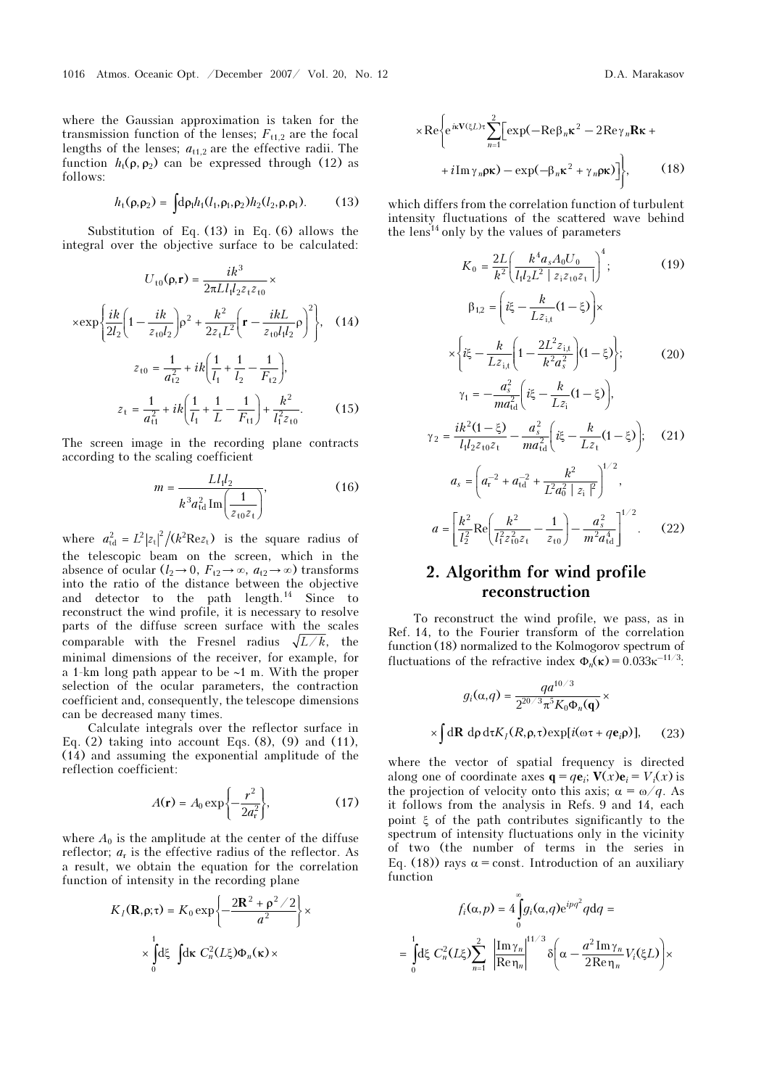where the Gaussian approximation is taken for the transmission function of the lenses;  $F_{t1,2}$  are the focal lengths of the lenses;  $a_{t1,2}$  are the effective radii. The function  $h_t(\rho, \rho_2)$  can be expressed through (12) as follows:

$$
h_{t}(\rho, \rho_{2}) = \int d\rho_{1} h_{1}(l_{1}, \rho_{1}, \rho_{2}) h_{2}(l_{2}, \rho, \rho_{1}). \tag{13}
$$

Substitution of Eq. (13) in Eq. (6) allows the integral over the objective surface to be calculated:

$$
U_{t0}(\rho, \mathbf{r}) = \frac{i k^3}{2\pi L l_1 l_2 z_t z_{t0}} \times
$$

$$
\times \exp\left\{\frac{i k}{2l_2} \left(1 - \frac{i k}{z_{t0} l_2}\right) \rho^2 + \frac{k^2}{2z_t L^2} \left(\mathbf{r} - \frac{i k L}{z_{t0} l_1 l_2} \rho\right)^2\right\}, \quad (14)
$$

$$
z_{t0} = \frac{1}{a_{t2}^2} + i k \left(\frac{1}{l_1} + \frac{1}{l_2} - \frac{1}{F_{t2}}\right),
$$

$$
z_t = \frac{1}{a_{t1}^2} + i k \left(\frac{1}{l_1} + \frac{1}{L} - \frac{1}{F_{t1}}\right) + \frac{k^2}{l_1^2 z_{t0}}. \quad (15)
$$

The screen image in the recording plane contracts according to the scaling coefficient

$$
m = \frac{L l_1 l_2}{k^3 a_{\text{td}}^2 \operatorname{Im} \left( \frac{1}{z_{\text{td}} z_{\text{t}}} \right)},\tag{16}
$$

where  $a_{\text{td}}^2 = L^2 |z_t|^2 / (k^2 \text{Re} z_t)$  is the square radius of the telescopic beam on the screen, which in the absence of ocular  $(l_2 \rightarrow 0, F_{t2} \rightarrow \infty, a_{t2} \rightarrow \infty)$  transforms into the ratio of the distance between the objective and detector to the path length.<sup>14</sup> Since to reconstruct the wind profile, it is necessary to resolve parts of the diffuse screen surface with the scales comparable with the Fresnel radius  $\sqrt{L/k}$ , the minimal dimensions of the receiver, for example, for a 1-km long path appear to be ∼1 m. With the proper selection of the ocular parameters, the contraction coefficient and, consequently, the telescope dimensions can be decreased many times.

Calculate integrals over the reflector surface in Eq.  $(2)$  taking into account Eqs.  $(8)$ ,  $(9)$  and  $(11)$ , (14) and assuming the exponential amplitude of the reflection coefficient:

$$
A(\mathbf{r}) = A_0 \exp\left\{-\frac{r^2}{2a_r^2}\right\},\tag{17}
$$

where  $A_0$  is the amplitude at the center of the diffuse reflector;  $a_r$  is the effective radius of the reflector. As a result, we obtain the equation for the correlation function of intensity in the recording plane

$$
K_I(\mathbf{R}, \rho; \tau) = K_0 \exp \left\{ -\frac{2\mathbf{R}^2 + \rho^2 / 2}{a^2} \right\} \times \int_0^1 d\xi \int d\kappa C_n^2(L\xi) \Phi_n(\kappa) \times
$$

$$
\times \text{Re}\left\{e^{i\kappa \mathbf{V}(\xi L)\tau}\sum_{n=1}^{2} \left[\exp(-\text{Re}\beta_{n}\kappa^{2} - 2\text{Re}\gamma_{n}\mathbf{R}\kappa + \right.\n+ i\text{Im}\gamma_{n}\rho\kappa) - \exp(-\beta_{n}\kappa^{2} + \gamma_{n}\rho\kappa)\right]\right\},\n\tag{18}
$$

which differs from the correlation function of turbulent intensity fluctuations of the scattered wave behind the lens<sup>14</sup> only by the values of parameters

$$
K_{0} = \frac{2L}{k^{2}} \left( \frac{k^{4} a_{s} A_{0} U_{0}}{l_{1} l_{2} L^{2} | z_{i} z_{t0} z_{t} |} \right)^{4};
$$
(19)  

$$
\beta_{1,2} = \left( i \xi - \frac{k}{L z_{i,t}} (1 - \xi) \right) \times
$$

$$
\times \left\{ i \xi - \frac{k}{L z_{i,t}} \left( 1 - \frac{2L^{2} z_{i,t}}{k^{2} a_{s}^{2}} \right) (1 - \xi) \right\};
$$
(20)  

$$
\gamma_{1} = -\frac{a_{s}^{2}}{m a_{td}^{2}} \left( i \xi - \frac{k}{L z_{i}} (1 - \xi) \right),
$$
  

$$
\gamma_{2} = \frac{i k^{2} (1 - \xi)}{l_{1} l_{2} z_{t0} z_{t}} - \frac{a_{s}^{2}}{m a_{td}^{2}} \left( i \xi - \frac{k}{L z_{t}} (1 - \xi) \right);
$$
(21)  

$$
a_{s} = \left( a_{r}^{-2} + a_{td}^{-2} + \frac{k^{2}}{L^{2} a_{0}^{2} | z_{i} |} \right)^{1/2},
$$
  

$$
a = \left[ \frac{k^{2}}{l_{2}^{2}} \text{Re} \left( \frac{k^{2}}{l_{1}^{2} z_{t0} z_{t}} - \frac{1}{z_{t0}} \right) - \frac{a_{s}^{2}}{m^{2} a_{td}^{4}} \right]^{1/2}.
$$
(22)

# 2. Algorithm for wind profile reconstruction

To reconstruct the wind profile, we pass, as in Ref. 14, to the Fourier transform of the correlation function (18) normalized to the Kolmogorov spectrum of fluctuations of the refractive index  $\Phi_n(\kappa) = 0.033 \kappa^{-11/3}$ :

$$
g_i(\alpha, q) = \frac{q a^{10/3}}{2^{20/3} \pi^5 K_0 \Phi_n(\mathbf{q})} \times
$$

$$
\times \int d\mathbf{R} \, d\rho \, d\tau K_I(R, \rho, \tau) \exp[i(\omega \tau + q \mathbf{e}_i \rho)], \qquad (23)
$$

where the vector of spatial frequency is directed along one of coordinate axes  $\mathbf{q} = q\mathbf{e}_i$ ;  $\mathbf{V}(x)\mathbf{e}_i = V_i(x)$  is the projection of velocity onto this axis;  $\alpha = \omega/q$ . As it follows from the analysis in Refs. 9 and 14, each point ξ of the path contributes significantly to the spectrum of intensity fluctuations only in the vicinity of two (the number of terms in the series in Eq. (18)) rays  $\alpha$  = const. Introduction of an auxiliary function

$$
f_i(\alpha, p) = 4 \int_0^{\infty} g_i(\alpha, q) e^{ipq^2} q dq =
$$
  
= 
$$
\int_0^1 d\xi C_n^2 (L\xi) \sum_{n=1}^2 \left| \frac{\text{Im}\gamma_n}{\text{Re}\eta_n} \right|^{1/3} \delta\left(\alpha - \frac{a^2 \text{Im}\gamma_n}{2\text{Re}\eta_n} V_i(\xi L)\right) \times
$$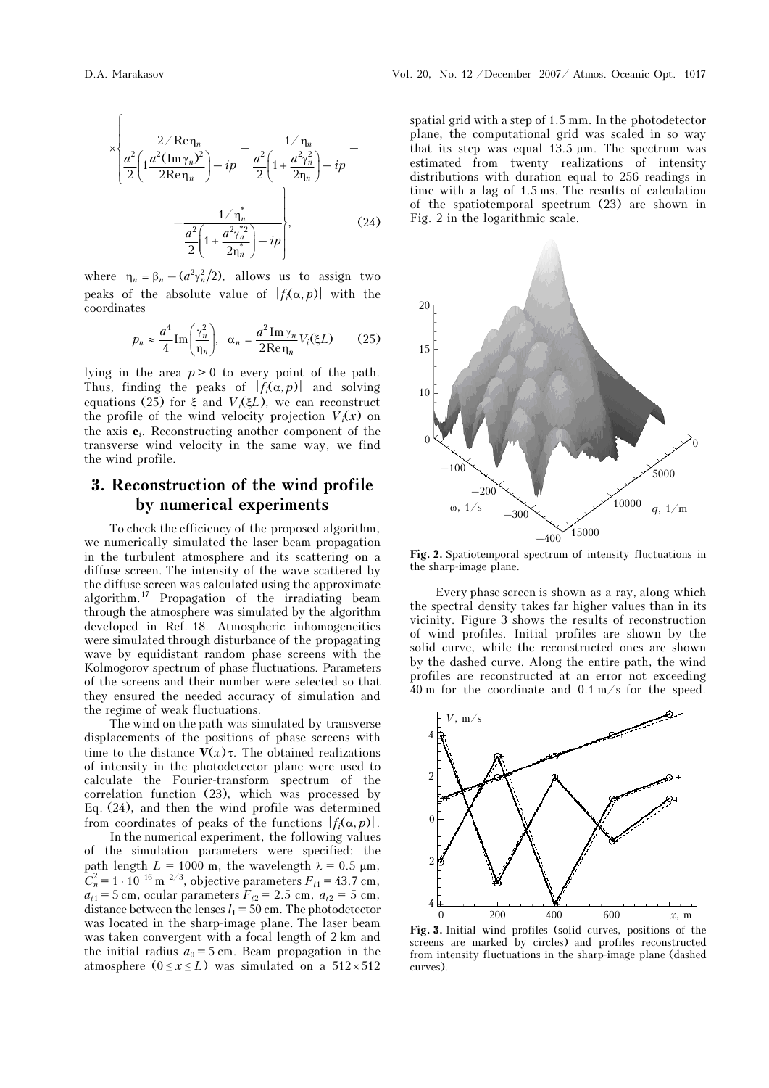$$
\times \left\{ \frac{2/\text{Re}\,\eta_n}{\frac{a^2}{2} \left( 1 + \frac{a^2 \left( \text{Im}\,\gamma_n \right)^2}{2\text{Re}\,\eta_n} \right) - ip} - \frac{1/\,\eta_n}{\frac{a^2}{2} \left( 1 + \frac{a^2 \gamma_n^2}{2\eta_n} \right) - ip} - \frac{1/\,\eta_n^*}{\frac{a^2}{2} \left( 1 + \frac{a^2 \gamma_n^*}{2\eta_n^*} \right) - ip} \right\},\tag{24}
$$

where  $\eta_n = \beta_n - (a^2 \gamma_n^2/2)$ , allows us to assign two peaks of the absolute value of  $|f_i(\alpha, p)|$  with the coordinates

$$
p_n \approx \frac{a^4}{4} \text{Im}\left(\frac{\gamma_n^2}{\eta_n}\right), \quad \alpha_n = \frac{a^2 \text{Im}\,\gamma_n}{2\text{Re}\,\eta_n} V_i(\xi L) \tag{25}
$$

lying in the area  $p > 0$  to every point of the path. Thus, finding the peaks of  $|f_i(\alpha, p)|$  and solving equations (25) for ξ and  $V_i(\xi L)$ , we can reconstruct the profile of the wind velocity projection  $V_i(x)$  on the axis  $e_i$ . Reconstructing another component of the transverse wind velocity in the same way, we find the wind profile.

## 3. Reconstruction of the wind profile by numerical experiments

To check the efficiency of the proposed algorithm, we numerically simulated the laser beam propagation in the turbulent atmosphere and its scattering on a diffuse screen. The intensity of the wave scattered by the diffuse screen was calculated using the approximate algorithm.<sup>17</sup> Propagation of the irradiating beam through the atmosphere was simulated by the algorithm developed in Ref. 18. Atmospheric inhomogeneities were simulated through disturbance of the propagating wave by equidistant random phase screens with the Kolmogorov spectrum of phase fluctuations. Parameters of the screens and their number were selected so that they ensured the needed accuracy of simulation and the regime of weak fluctuations.

The wind on the path was simulated by transverse displacements of the positions of phase screens with time to the distance  $V(x)$  τ. The obtained realizations of intensity in the photodetector plane were used to calculate the Fourier-transform spectrum of the correlation function (23), which was processed by Eq. (24), and then the wind profile was determined from coordinates of peaks of the functions  $|f_i(\alpha, p)|$ .

 In the numerical experiment, the following values of the simulation parameters were specified: the path length  $L = 1000$  m, the wavelength  $\lambda = 0.5$   $\mu$ m, In the numerical experiment, the following values<br>of the simulation parameters were specified: the<br>path length  $L = 1000$  m, the wavelength  $\lambda = 0.5$  µm,<br> $C_n^2 = 1 \cdot 10^{-16}$  m<sup>-2/3</sup>, objective parameters  $F_{t1} = 43.7$  cm,  $a_{t1} = 5$  cm, ocular parameters  $F_{t2} = 2.5$  cm,  $a_{t2} = 5$  cm, distance between the lenses  $l_1 = 50$  cm. The photodetector was located in the sharp-image plane. The laser beam was taken convergent with a focal length of 2 km and the initial radius  $a_0 = 5$  cm. Beam propagation in the atmosphere ( $0 \le x \le L$ ) was simulated on a 512×512

spatial grid with a step of 1.5 mm. In the photodetector plane, the computational grid was scaled in so way that its step was equal 13.5 μm. The spectrum was estimated from twenty realizations of intensity distributions with duration equal to 256 readings in time with a lag of 1.5 ms. The results of calculation of the spatiotemporal spectrum (23) are shown in Fig. 2 in the logarithmic scale.



Fig. 2. Spatiotemporal spectrum of intensity fluctuations in the sharp-image plane.

Every phase screen is shown as a ray, along which the spectral density takes far higher values than in its vicinity. Figure 3 shows the results of reconstruction of wind profiles. Initial profiles are shown by the solid curve, while the reconstructed ones are shown by the dashed curve. Along the entire path, the wind profiles are reconstructed at an error not exceeding 40 m for the coordinate and 0.1 m/s for the speed.



Fig. 3. Initial wind profiles (solid curves, positions of the screens are marked by circles) and profiles reconstructed from intensity fluctuations in the sharp-image plane (dashed curves).